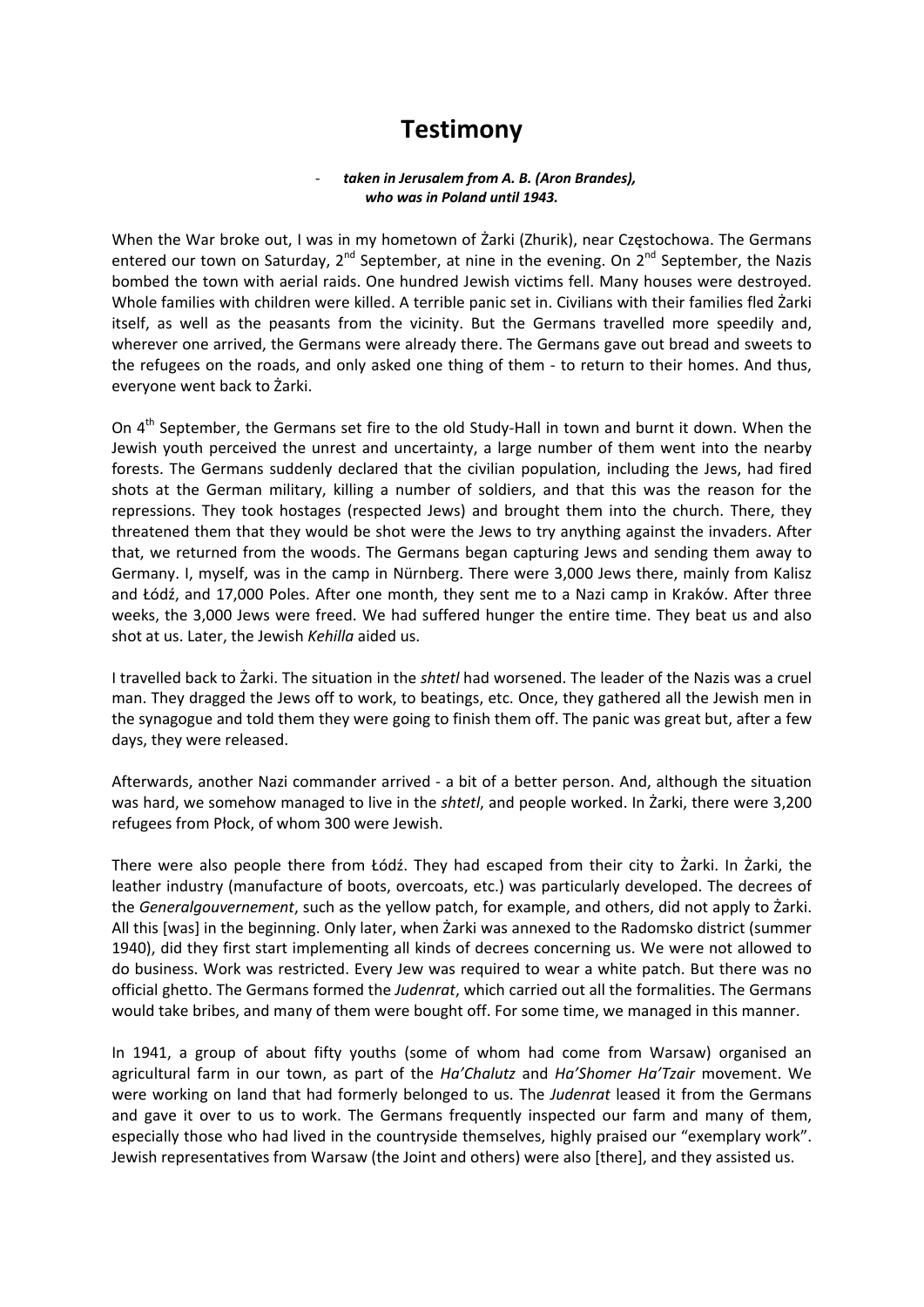## **Testimony**

## ‐ *taken in Jerusalem from A. B. (Aron Brandes), who was in Poland until 1943.*

When the War broke out, I was in my hometown of Żarki (Zhurik), near Częstochowa. The Germans entered our town on Saturday,  $2^{nd}$  September, at nine in the evening. On  $2^{nd}$  September, the Nazis bombed the town with aerial raids. One hundred Jewish victims fell. Many houses were destroyed. Whole families with children were killed. A terrible panic set in. Civilians with their families fled Żarki itself, as well as the peasants from the vicinity. But the Germans travelled more speedily and, wherever one arrived, the Germans were already there. The Germans gave out bread and sweets to the refugees on the roads, and only asked one thing of them - to return to their homes. And thus, everyone went back to Żarki.

On 4<sup>th</sup> September, the Germans set fire to the old Study-Hall in town and burnt it down. When the Jewish youth perceived the unrest and uncertainty, a large number of them went into the nearby forests. The Germans suddenly declared that the civilian population, including the Jews, had fired shots at the German military, killing a number of soldiers, and that this was the reason for the repressions. They took hostages (respected Jews) and brought them into the church. There, they threatened them that they would be shot were the Jews to try anything against the invaders. After that, we returned from the woods. The Germans began capturing Jews and sending them away to Germany. I, myself, was in the camp in Nürnberg. There were 3,000 Jews there, mainly from Kalisz and Łódź, and 17,000 Poles. After one month, they sent me to a Nazi camp in Kraków. After three weeks, the 3,000 Jews were freed. We had suffered hunger the entire time. They beat us and also shot at us. Later, the Jewish *Kehilla* aided us.

I travelled back to Żarki. The situation in the *shtetl* had worsened. The leader of the Nazis was a cruel man. They dragged the Jews off to work, to beatings, etc. Once, they gathered all the Jewish men in the synagogue and told them they were going to finish them off. The panic was great but, after a few days, they were released.

Afterwards, another Nazi commander arrived ‐ a bit of a better person. And, although the situation was hard, we somehow managed to live in the *shtetl*, and people worked. In Żarki, there were 3,200 refugees from Płock, of whom 300 were Jewish.

There were also people there from Łódź. They had escaped from their city to Żarki. In Żarki, the leather industry (manufacture of boots, overcoats, etc.) was particularly developed. The decrees of the *Generalgouvernement*, such as the yellow patch, for example, and others, did not apply to Żarki. All this [was] in the beginning. Only later, when Żarki was annexed to the Radomsko district (summer 1940), did they first start implementing all kinds of decrees concerning us. We were not allowed to do business. Work was restricted. Every Jew was required to wear a white patch. But there was no official ghetto. The Germans formed the *Judenrat*, which carried out all the formalities. The Germans would take bribes, and many of them were bought off. For some time, we managed in this manner.

In 1941, a group of about fifty youths (some of whom had come from Warsaw) organised an agricultural farm in our town, as part of the *Ha'Chalutz* and *Ha'Shomer Ha'Tzair* movement. We were working on land that had formerly belonged to us. The *Judenrat* leased it from the Germans and gave it over to us to work. The Germans frequently inspected our farm and many of them, especially those who had lived in the countryside themselves, highly praised our "exemplary work". Jewish representatives from Warsaw (the Joint and others) were also [there], and they assisted us.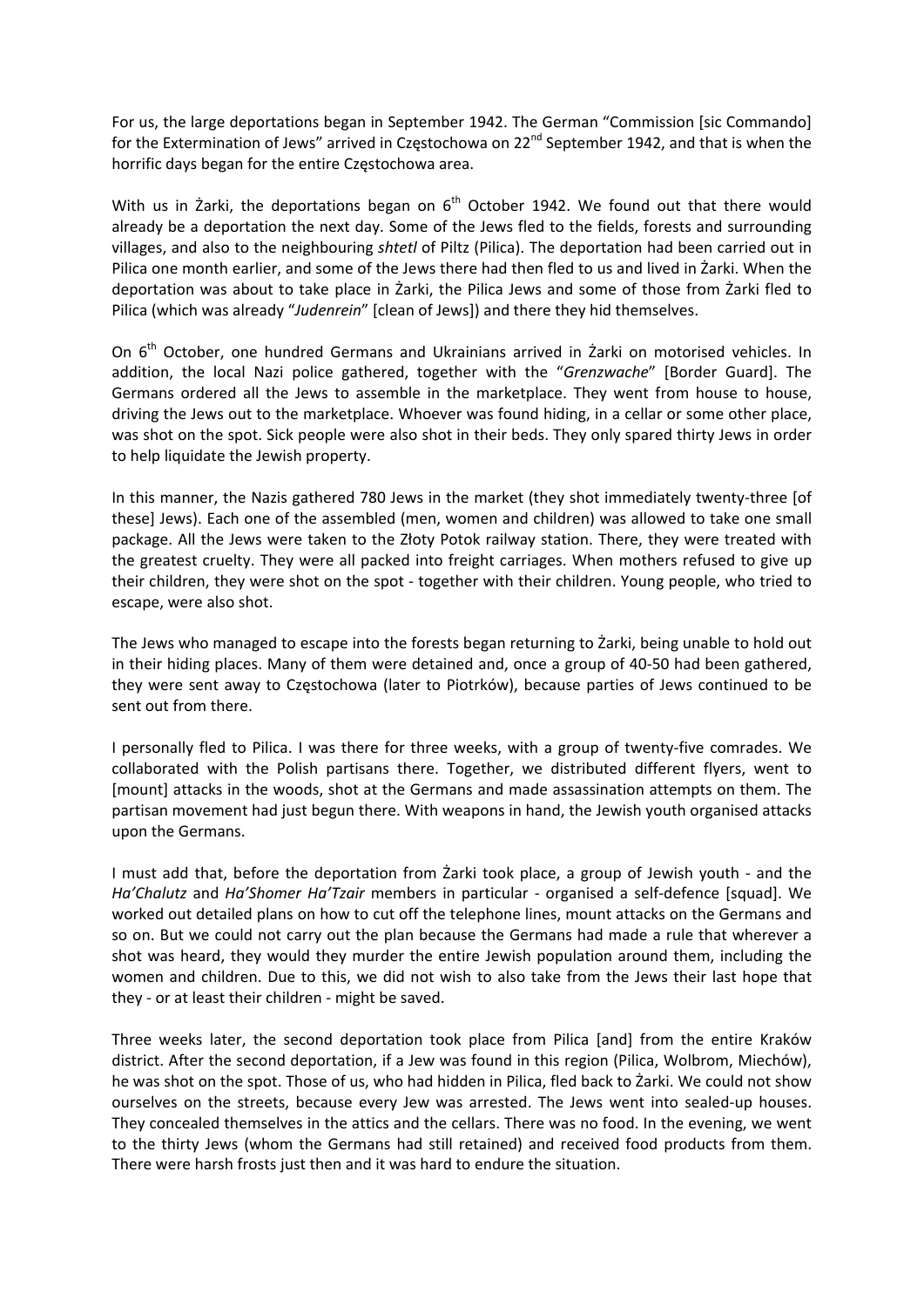For us, the large deportations began in September 1942. The German "Commission [sic Commando] for the Extermination of Jews" arrived in Częstochowa on 22<sup>nd</sup> September 1942, and that is when the horrific days began for the entire Częstochowa area.

With us in  $\dot{z}$  arki, the deportations began on  $6<sup>th</sup>$  October 1942. We found out that there would already be a deportation the next day. Some of the Jews fled to the fields, forests and surrounding villages, and also to the neighbouring *shtetl* of Piltz (Pilica). The deportation had been carried out in Pilica one month earlier, and some of the Jews there had then fled to us and lived in Żarki. When the deportation was about to take place in Żarki, the Pilica Jews and some of those from Żarki fled to Pilica (which was already "*Judenrein*" [clean of Jews]) and there they hid themselves.

On 6<sup>th</sup> October, one hundred Germans and Ukrainians arrived in Żarki on motorised vehicles. In addition, the local Nazi police gathered, together with the "*Grenzwache*" [Border Guard]. The Germans ordered all the Jews to assemble in the marketplace. They went from house to house, driving the Jews out to the marketplace. Whoever was found hiding, in a cellar or some other place, was shot on the spot. Sick people were also shot in their beds. They only spared thirty Jews in order to help liquidate the Jewish property.

In this manner, the Nazis gathered 780 Jews in the market (they shot immediately twenty‐three [of these] Jews). Each one of the assembled (men, women and children) was allowed to take one small package. All the Jews were taken to the Złoty Potok railway station. There, they were treated with the greatest cruelty. They were all packed into freight carriages. When mothers refused to give up their children, they were shot on the spot ‐ together with their children. Young people, who tried to escape, were also shot.

The Jews who managed to escape into the forests began returning to Żarki, being unable to hold out in their hiding places. Many of them were detained and, once a group of 40‐50 had been gathered, they were sent away to Częstochowa (later to Piotrków), because parties of Jews continued to be sent out from there.

I personally fled to Pilica. I was there for three weeks, with a group of twenty‐five comrades. We collaborated with the Polish partisans there. Together, we distributed different flyers, went to [mount] attacks in the woods, shot at the Germans and made assassination attempts on them. The partisan movement had just begun there. With weapons in hand, the Jewish youth organised attacks upon the Germans.

I must add that, before the deportation from Żarki took place, a group of Jewish youth ‐ and the *Ha'Chalutz* and *Ha'Shomer Ha'Tzair* members in particular ‐ organised a self‐defence [squad]. We worked out detailed plans on how to cut off the telephone lines, mount attacks on the Germans and so on. But we could not carry out the plan because the Germans had made a rule that wherever a shot was heard, they would they murder the entire Jewish population around them, including the women and children. Due to this, we did not wish to also take from the Jews their last hope that they ‐ or at least their children ‐ might be saved.

Three weeks later, the second deportation took place from Pilica [and] from the entire Kraków district. After the second deportation, if a Jew was found in this region (Pilica, Wolbrom, Miechów), he was shot on the spot. Those of us, who had hidden in Pilica, fled back to Żarki. We could not show ourselves on the streets, because every Jew was arrested. The Jews went into sealed‐up houses. They concealed themselves in the attics and the cellars. There was no food. In the evening, we went to the thirty Jews (whom the Germans had still retained) and received food products from them. There were harsh frosts just then and it was hard to endure the situation.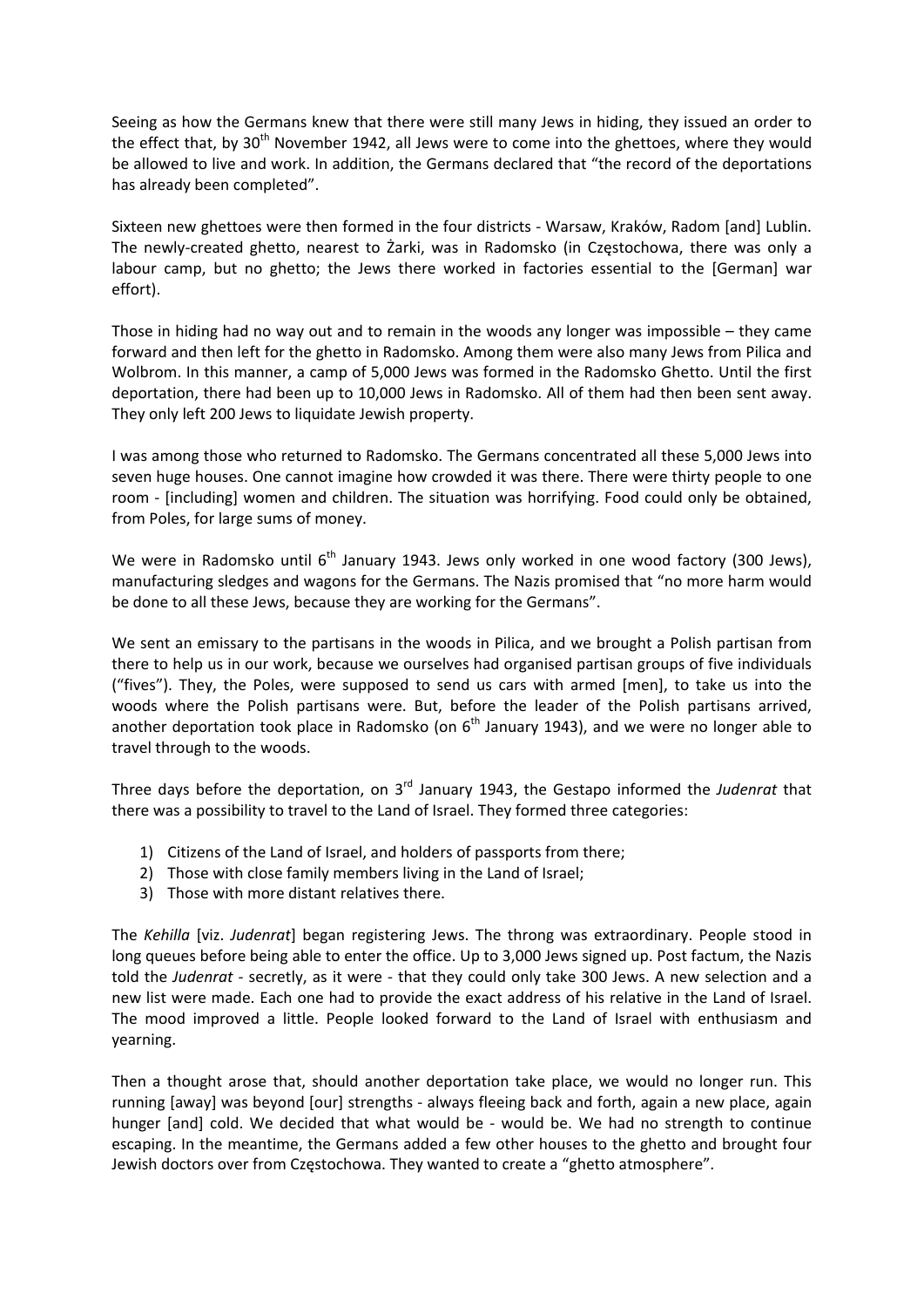Seeing as how the Germans knew that there were still many Jews in hiding, they issued an order to the effect that, by  $30<sup>th</sup>$  November 1942, all Jews were to come into the ghettoes, where they would be allowed to live and work. In addition, the Germans declared that "the record of the deportations has already been completed".

Sixteen new ghettoes were then formed in the four districts ‐ Warsaw, Kraków, Radom [and] Lublin. The newly‐created ghetto, nearest to Żarki, was in Radomsko (in Częstochowa, there was only a labour camp, but no ghetto; the Jews there worked in factories essential to the [German] war effort).

Those in hiding had no way out and to remain in the woods any longer was impossible – they came forward and then left for the ghetto in Radomsko. Among them were also many Jews from Pilica and Wolbrom. In this manner, a camp of 5,000 Jews was formed in the Radomsko Ghetto. Until the first deportation, there had been up to 10,000 Jews in Radomsko. All of them had then been sent away. They only left 200 Jews to liquidate Jewish property.

I was among those who returned to Radomsko. The Germans concentrated all these 5,000 Jews into seven huge houses. One cannot imagine how crowded it was there. There were thirty people to one room - [including] women and children. The situation was horrifying. Food could only be obtained, from Poles, for large sums of money.

We were in Radomsko until  $6<sup>th</sup>$  January 1943. Jews only worked in one wood factory (300 Jews), manufacturing sledges and wagons for the Germans. The Nazis promised that "no more harm would be done to all these Jews, because they are working for the Germans".

We sent an emissary to the partisans in the woods in Pilica, and we brought a Polish partisan from there to help us in our work, because we ourselves had organised partisan groups of five individuals ("fives"). They, the Poles, were supposed to send us cars with armed [men], to take us into the woods where the Polish partisans were. But, before the leader of the Polish partisans arrived, another deportation took place in Radomsko (on  $6<sup>th</sup>$  January 1943), and we were no longer able to travel through to the woods.

Three days before the deportation, on 3rd January 1943, the Gestapo informed the *Judenrat* that there was a possibility to travel to the Land of Israel. They formed three categories:

- 1) Citizens of the Land of Israel, and holders of passports from there;
- 2) Those with close family members living in the Land of Israel;
- 3) Those with more distant relatives there.

The *Kehilla* [viz. *Judenrat*] began registering Jews. The throng was extraordinary. People stood in long queues before being able to enter the office. Up to 3,000 Jews signed up. Post factum, the Nazis told the *Judenrat* - secretly, as it were - that they could only take 300 Jews. A new selection and a new list were made. Each one had to provide the exact address of his relative in the Land of Israel. The mood improved a little. People looked forward to the Land of Israel with enthusiasm and yearning.

Then a thought arose that, should another deportation take place, we would no longer run. This running [away] was beyond [our] strengths ‐ always fleeing back and forth, again a new place, again hunger [and] cold. We decided that what would be - would be. We had no strength to continue escaping. In the meantime, the Germans added a few other houses to the ghetto and brought four Jewish doctors over from Częstochowa. They wanted to create a "ghetto atmosphere".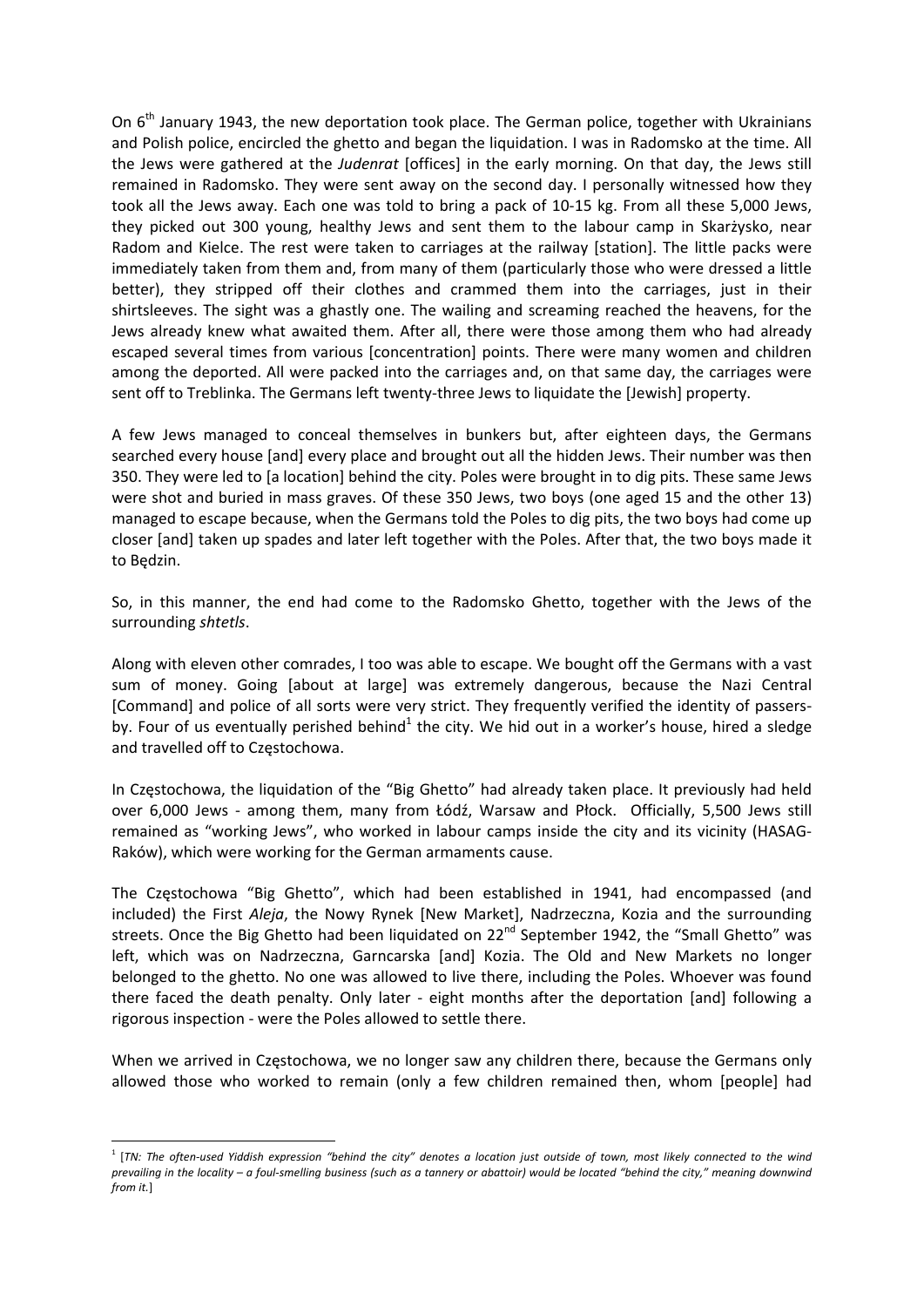On 6<sup>th</sup> January 1943, the new deportation took place. The German police, together with Ukrainians and Polish police, encircled the ghetto and began the liquidation. I was in Radomsko at the time. All the Jews were gathered at the *Judenrat* [offices] in the early morning. On that day, the Jews still remained in Radomsko. They were sent away on the second day. I personally witnessed how they took all the Jews away. Each one was told to bring a pack of 10‐15 kg. From all these 5,000 Jews, they picked out 300 young, healthy Jews and sent them to the labour camp in Skarżysko, near Radom and Kielce. The rest were taken to carriages at the railway [station]. The little packs were immediately taken from them and, from many of them (particularly those who were dressed a little better), they stripped off their clothes and crammed them into the carriages, just in their shirtsleeves. The sight was a ghastly one. The wailing and screaming reached the heavens, for the Jews already knew what awaited them. After all, there were those among them who had already escaped several times from various [concentration] points. There were many women and children among the deported. All were packed into the carriages and, on that same day, the carriages were sent off to Treblinka. The Germans left twenty-three Jews to liquidate the [Jewish] property.

A few Jews managed to conceal themselves in bunkers but, after eighteen days, the Germans searched every house [and] every place and brought out all the hidden Jews. Their number was then 350. They were led to [a location] behind the city. Poles were brought in to dig pits. These same Jews were shot and buried in mass graves. Of these 350 Jews, two boys (one aged 15 and the other 13) managed to escape because, when the Germans told the Poles to dig pits, the two boys had come up closer [and] taken up spades and later left together with the Poles. After that, the two boys made it to Będzin.

So, in this manner, the end had come to the Radomsko Ghetto, together with the Jews of the surrounding *shtetls*.

Along with eleven other comrades, I too was able to escape. We bought off the Germans with a vast sum of money. Going [about at large] was extremely dangerous, because the Nazi Central [Command] and police of all sorts were very strict. They frequently verified the identity of passersby. Four of us eventually perished behind<sup>1</sup> the city. We hid out in a worker's house, hired a sledge and travelled off to Częstochowa.

In Częstochowa, the liquidation of the "Big Ghetto" had already taken place. It previously had held over 6,000 Jews - among them, many from Łódź, Warsaw and Płock. Officially, 5,500 Jews still remained as "working Jews", who worked in labour camps inside the city and its vicinity (HASAG‐ Raków), which were working for the German armaments cause.

The Częstochowa "Big Ghetto", which had been established in 1941, had encompassed (and included) the First *Aleja*, the Nowy Rynek [New Market], Nadrzeczna, Kozia and the surrounding streets. Once the Big Ghetto had been liquidated on 22<sup>nd</sup> September 1942, the "Small Ghetto" was left, which was on Nadrzeczna, Garncarska [and] Kozia. The Old and New Markets no longer belonged to the ghetto. No one was allowed to live there, including the Poles. Whoever was found there faced the death penalty. Only later - eight months after the deportation [and] following a rigorous inspection ‐ were the Poles allowed to settle there.

When we arrived in Częstochowa, we no longer saw any children there, because the Germans only allowed those who worked to remain (only a few children remained then, whom [people] had

<sup>&</sup>lt;sup>1</sup> [TN: The often-used Yiddish expression "behind the city" denotes a location just outside of town, most likely connected to the wind prevailing in the locality - a foul-smelling business (such as a tannery or abattoir) would be located "behind the city," meaning downwind *from it.*]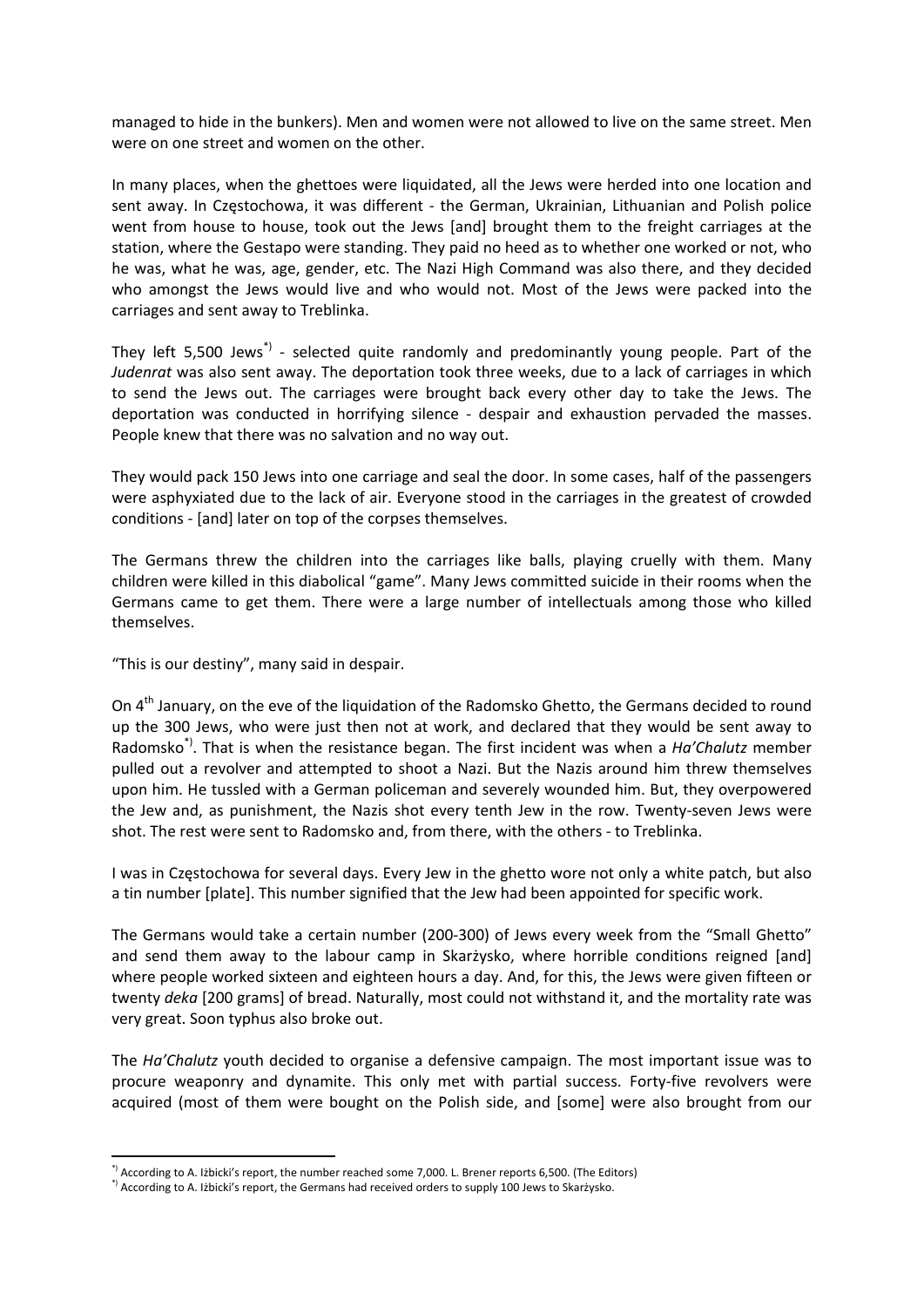managed to hide in the bunkers). Men and women were not allowed to live on the same street. Men were on one street and women on the other.

In many places, when the ghettoes were liquidated, all the Jews were herded into one location and sent away. In Częstochowa, it was different - the German, Ukrainian, Lithuanian and Polish police went from house to house, took out the Jews [and] brought them to the freight carriages at the station, where the Gestapo were standing. They paid no heed as to whether one worked or not, who he was, what he was, age, gender, etc. The Nazi High Command was also there, and they decided who amongst the Jews would live and who would not. Most of the Jews were packed into the carriages and sent away to Treblinka.

They left 5,500 Jews<sup>\*)</sup> - selected quite randomly and predominantly young people. Part of the *Judenrat* was also sent away. The deportation took three weeks, due to a lack of carriages in which to send the Jews out. The carriages were brought back every other day to take the Jews. The deportation was conducted in horrifying silence - despair and exhaustion pervaded the masses. People knew that there was no salvation and no way out.

They would pack 150 Jews into one carriage and seal the door. In some cases, half of the passengers were asphyxiated due to the lack of air. Everyone stood in the carriages in the greatest of crowded conditions ‐ [and] later on top of the corpses themselves.

The Germans threw the children into the carriages like balls, playing cruelly with them. Many children were killed in this diabolical "game". Many Jews committed suicide in their rooms when the Germans came to get them. There were a large number of intellectuals among those who killed themselves.

"This is our destiny", many said in despair.

On 4<sup>th</sup> January, on the eve of the liquidation of the Radomsko Ghetto, the Germans decided to round up the 300 Jews, who were just then not at work, and declared that they would be sent away to Radomsko\*). That is when the resistance began. The first incident was when a *Ha'Chalutz* member pulled out a revolver and attempted to shoot a Nazi. But the Nazis around him threw themselves upon him. He tussled with a German policeman and severely wounded him. But, they overpowered the Jew and, as punishment, the Nazis shot every tenth Jew in the row. Twenty‐seven Jews were shot. The rest were sent to Radomsko and, from there, with the others ‐ to Treblinka.

I was in Częstochowa for several days. Every Jew in the ghetto wore not only a white patch, but also a tin number [plate]. This number signified that the Jew had been appointed for specific work.

The Germans would take a certain number (200‐300) of Jews every week from the "Small Ghetto" and send them away to the labour camp in Skarżysko, where horrible conditions reigned [and] where people worked sixteen and eighteen hours a day. And, for this, the Jews were given fifteen or twenty *deka* [200 grams] of bread. Naturally, most could not withstand it, and the mortality rate was very great. Soon typhus also broke out.

The *Ha'Chalutz* youth decided to organise a defensive campaign. The most important issue was to procure weaponry and dynamite. This only met with partial success. Forty‐five revolvers were acquired (most of them were bought on the Polish side, and [some] were also brought from our

<sup>\*)</sup> According to A. Iżbicki's report, the number reached some 7,000. L. Brener reports 6,500. (The Editors)

<sup>\*)</sup> According to A. Iżbicki's report, the Germans had received orders to supply 100 Jews to Skarżysko.